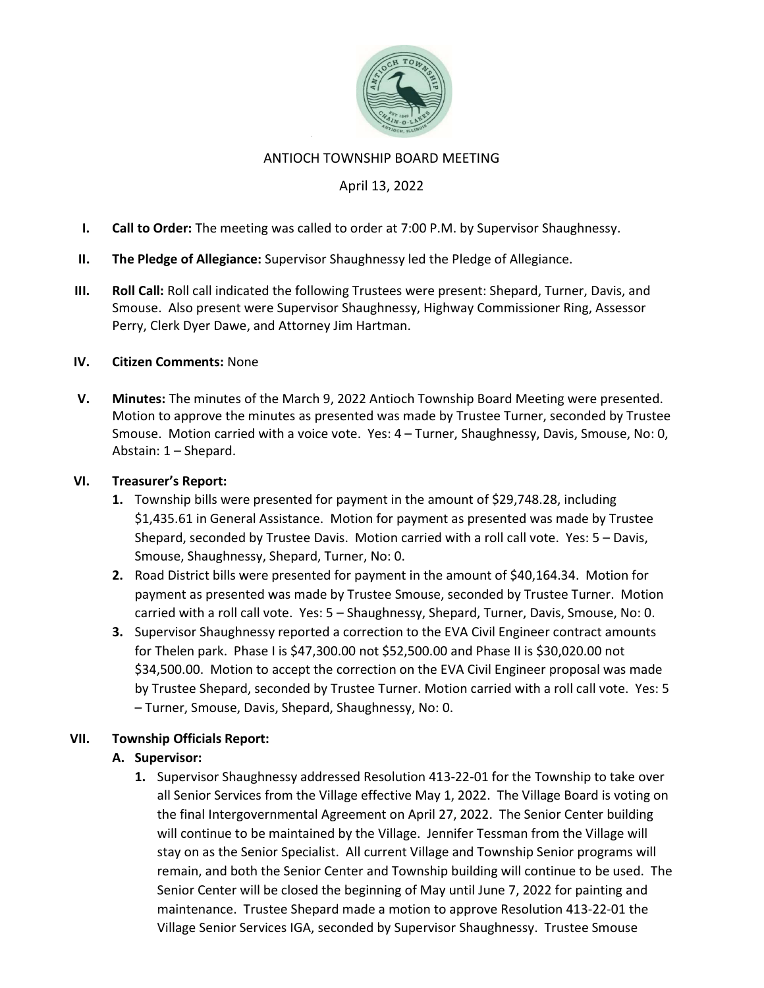

### ANTIOCH TOWNSHIP BOARD MEETING

## April 13, 2022

- I. Call to Order: The meeting was called to order at 7:00 P.M. by Supervisor Shaughnessy.
- II. The Pledge of Allegiance: Supervisor Shaughnessy led the Pledge of Allegiance.
- III. Roll Call: Roll call indicated the following Trustees were present: Shepard, Turner, Davis, and Smouse. Also present were Supervisor Shaughnessy, Highway Commissioner Ring, Assessor Perry, Clerk Dyer Dawe, and Attorney Jim Hartman.

#### IV. Citizen Comments: None

V. Minutes: The minutes of the March 9, 2022 Antioch Township Board Meeting were presented. Motion to approve the minutes as presented was made by Trustee Turner, seconded by Trustee Smouse. Motion carried with a voice vote. Yes: 4 – Turner, Shaughnessy, Davis, Smouse, No: 0, Abstain: 1 – Shepard.

#### VI. Treasurer's Report:

- 1. Township bills were presented for payment in the amount of \$29,748.28, including \$1,435.61 in General Assistance. Motion for payment as presented was made by Trustee Shepard, seconded by Trustee Davis. Motion carried with a roll call vote. Yes: 5 – Davis, Smouse, Shaughnessy, Shepard, Turner, No: 0.
- 2. Road District bills were presented for payment in the amount of \$40,164.34. Motion for payment as presented was made by Trustee Smouse, seconded by Trustee Turner. Motion carried with a roll call vote. Yes: 5 – Shaughnessy, Shepard, Turner, Davis, Smouse, No: 0.
- **3.** Supervisor Shaughnessy reported a correction to the EVA Civil Engineer contract amounts for Thelen park. Phase I is \$47,300.00 not \$52,500.00 and Phase II is \$30,020.00 not \$34,500.00. Motion to accept the correction on the EVA Civil Engineer proposal was made by Trustee Shepard, seconded by Trustee Turner. Motion carried with a roll call vote. Yes: 5 – Turner, Smouse, Davis, Shepard, Shaughnessy, No: 0.

## VII. Township Officials Report:

## A. Supervisor:

1. Supervisor Shaughnessy addressed Resolution 413-22-01 for the Township to take over all Senior Services from the Village effective May 1, 2022. The Village Board is voting on the final Intergovernmental Agreement on April 27, 2022. The Senior Center building will continue to be maintained by the Village. Jennifer Tessman from the Village will stay on as the Senior Specialist. All current Village and Township Senior programs will remain, and both the Senior Center and Township building will continue to be used. The Senior Center will be closed the beginning of May until June 7, 2022 for painting and maintenance. Trustee Shepard made a motion to approve Resolution 413-22-01 the Village Senior Services IGA, seconded by Supervisor Shaughnessy. Trustee Smouse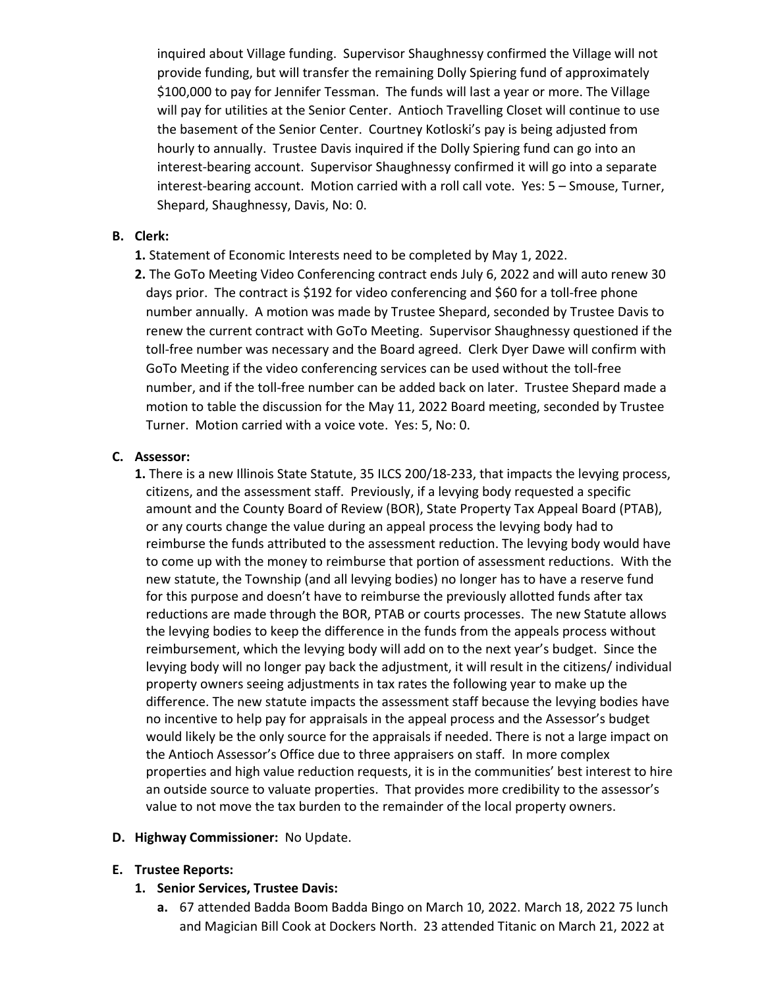inquired about Village funding. Supervisor Shaughnessy confirmed the Village will not provide funding, but will transfer the remaining Dolly Spiering fund of approximately \$100,000 to pay for Jennifer Tessman. The funds will last a year or more. The Village will pay for utilities at the Senior Center. Antioch Travelling Closet will continue to use the basement of the Senior Center. Courtney Kotloski's pay is being adjusted from hourly to annually. Trustee Davis inquired if the Dolly Spiering fund can go into an interest-bearing account. Supervisor Shaughnessy confirmed it will go into a separate interest-bearing account. Motion carried with a roll call vote. Yes: 5 – Smouse, Turner, Shepard, Shaughnessy, Davis, No: 0.

### B. Clerk:

- 1. Statement of Economic Interests need to be completed by May 1, 2022.
- 2. The GoTo Meeting Video Conferencing contract ends July 6, 2022 and will auto renew 30 days prior. The contract is \$192 for video conferencing and \$60 for a toll-free phone number annually. A motion was made by Trustee Shepard, seconded by Trustee Davis to renew the current contract with GoTo Meeting. Supervisor Shaughnessy questioned if the toll-free number was necessary and the Board agreed. Clerk Dyer Dawe will confirm with GoTo Meeting if the video conferencing services can be used without the toll-free number, and if the toll-free number can be added back on later. Trustee Shepard made a motion to table the discussion for the May 11, 2022 Board meeting, seconded by Trustee Turner. Motion carried with a voice vote. Yes: 5, No: 0.

#### C. Assessor:

1. There is a new Illinois State Statute, 35 ILCS 200/18-233, that impacts the levying process, citizens, and the assessment staff. Previously, if a levying body requested a specific amount and the County Board of Review (BOR), State Property Tax Appeal Board (PTAB), or any courts change the value during an appeal process the levying body had to reimburse the funds attributed to the assessment reduction. The levying body would have to come up with the money to reimburse that portion of assessment reductions. With the new statute, the Township (and all levying bodies) no longer has to have a reserve fund for this purpose and doesn't have to reimburse the previously allotted funds after tax reductions are made through the BOR, PTAB or courts processes. The new Statute allows the levying bodies to keep the difference in the funds from the appeals process without reimbursement, which the levying body will add on to the next year's budget. Since the levying body will no longer pay back the adjustment, it will result in the citizens/ individual property owners seeing adjustments in tax rates the following year to make up the difference. The new statute impacts the assessment staff because the levying bodies have no incentive to help pay for appraisals in the appeal process and the Assessor's budget would likely be the only source for the appraisals if needed. There is not a large impact on the Antioch Assessor's Office due to three appraisers on staff. In more complex properties and high value reduction requests, it is in the communities' best interest to hire an outside source to valuate properties. That provides more credibility to the assessor's value to not move the tax burden to the remainder of the local property owners.

#### D. Highway Commissioner: No Update.

#### E. Trustee Reports:

- 1. Senior Services, Trustee Davis:
	- a. 67 attended Badda Boom Badda Bingo on March 10, 2022. March 18, 2022 75 lunch and Magician Bill Cook at Dockers North. 23 attended Titanic on March 21, 2022 at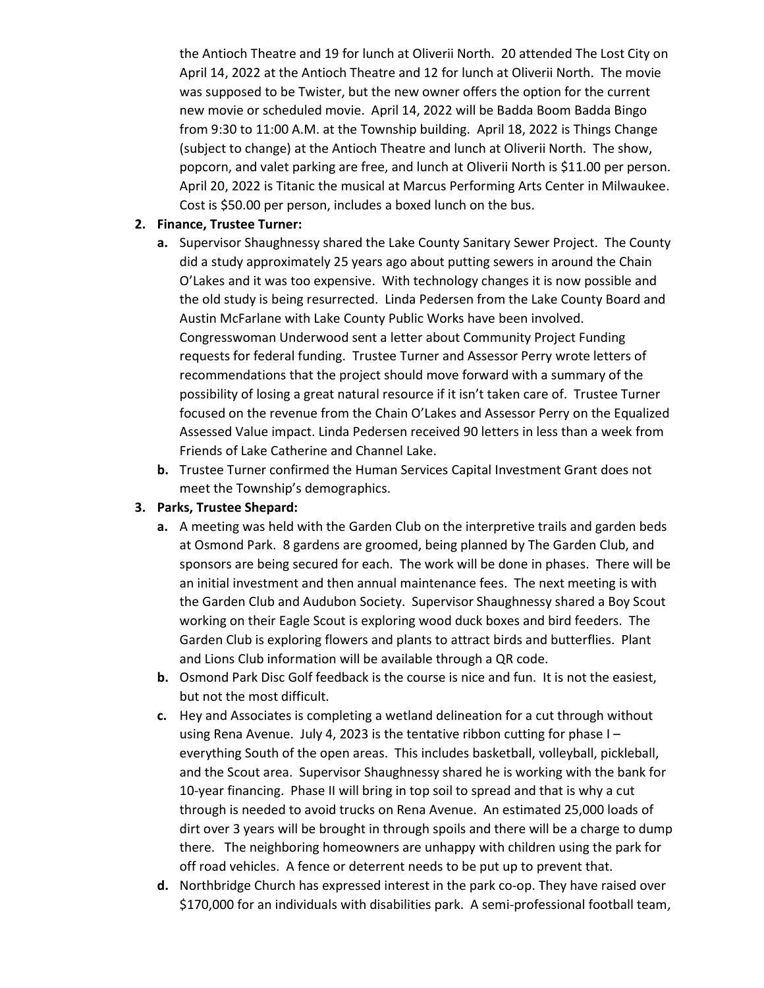the Antioch Theatre and 19 for lunch at Oliverii North. 20 attended The Lost City on April 14, 2022 at the Antioch Theatre and 12 for lunch at Oliverii North. The movie was supposed to be Twister, but the new owner offers the option for the current new movie or scheduled movie. April 14, 2022 will be Badda Boom Badda Bingo from 9:30 to 11:00 A.M. at the Township building. April 18, 2022 is Things Change (subject to change) at the Antioch Theatre and lunch at Oliverii North. The show, popcorn, and valet parking are free, and lunch at Oliverii North is \$11.00 per person. April 20, 2022 is Titanic the musical at Marcus Performing Arts Center in Milwaukee. Cost is \$50.00 per person, includes a boxed lunch on the bus.

## 2. Finance, Trustee Turner:

- a. Supervisor Shaughnessy shared the Lake County Sanitary Sewer Project. The County did a study approximately 25 years ago about putting sewers in around the Chain O'Lakes and it was too expensive. With technology changes it is now possible and the old study is being resurrected. Linda Pedersen from the Lake County Board and Austin McFarlane with Lake County Public Works have been involved. Congresswoman Underwood sent a letter about Community Project Funding requests for federal funding. Trustee Turner and Assessor Perry wrote letters of recommendations that the project should move forward with a summary of the possibility of losing a great natural resource if it isn't taken care of. Trustee Turner focused on the revenue from the Chain O'Lakes and Assessor Perry on the Equalized Assessed Value impact. Linda Pedersen received 90 letters in less than a week from Friends of Lake Catherine and Channel Lake.
- b. Trustee Turner confirmed the Human Services Capital Investment Grant does not meet the Township's demographics.

# 3. Parks, Trustee Shepard:

- a. A meeting was held with the Garden Club on the interpretive trails and garden beds at Osmond Park. 8 gardens are groomed, being planned by The Garden Club, and sponsors are being secured for each. The work will be done in phases. There will be an initial investment and then annual maintenance fees. The next meeting is with the Garden Club and Audubon Society. Supervisor Shaughnessy shared a Boy Scout working on their Eagle Scout is exploring wood duck boxes and bird feeders. The Garden Club is exploring flowers and plants to attract birds and butterflies. Plant and Lions Club information will be available through a QR code.
- b. Osmond Park Disc Golf feedback is the course is nice and fun. It is not the easiest, but not the most difficult.
- c. Hey and Associates is completing a wetland delineation for a cut through without using Rena Avenue. July 4, 2023 is the tentative ribbon cutting for phase I – everything South of the open areas. This includes basketball, volleyball, pickleball, and the Scout area. Supervisor Shaughnessy shared he is working with the bank for 10-year financing. Phase II will bring in top soil to spread and that is why a cut through is needed to avoid trucks on Rena Avenue. An estimated 25,000 loads of dirt over 3 years will be brought in through spoils and there will be a charge to dump there. The neighboring homeowners are unhappy with children using the park for off road vehicles. A fence or deterrent needs to be put up to prevent that.
- d. Northbridge Church has expressed interest in the park co-op. They have raised over \$170,000 for an individuals with disabilities park. A semi-professional football team,